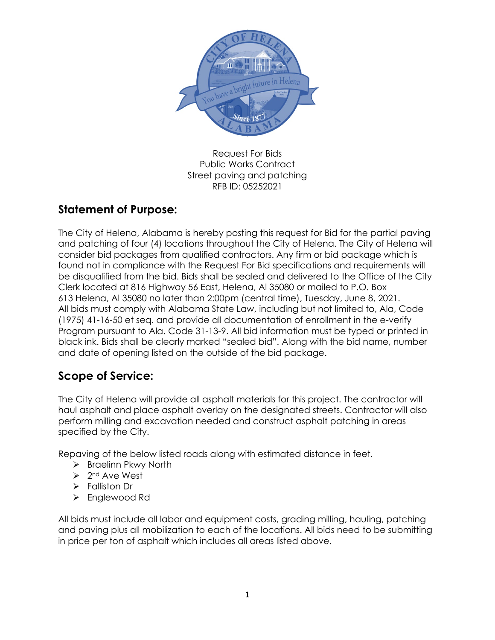

Request For Bids Public Works Contract Street paving and patching RFB ID: 05252021

# **Statement of Purpose:**

The City of Helena, Alabama is hereby posting this request for Bid for the partial paving and patching of four (4) locations throughout the City of Helena. The City of Helena will consider bid packages from qualified contractors. Any firm or bid package which is found not in compliance with the Request For Bid specifications and requirements will be disqualified from the bid. Bids shall be sealed and delivered to the Office of the City Clerk located at 816 Highway 56 East, Helena, Al 35080 or mailed to P.O. Box 613 Helena, Al 35080 no later than 2:00pm (central time), Tuesday, June 8, 2021. All bids must comply with Alabama State Law, including but not limited to, Ala, Code (1975) 41-16-50 et seq. and provide all documentation of enrollment in the e-verify Program pursuant to Ala. Code 31-13-9. All bid information must be typed or printed in black ink. Bids shall be clearly marked "sealed bid". Along with the bid name, number and date of opening listed on the outside of the bid package.

# **Scope of Service:**

The City of Helena will provide all asphalt materials for this project. The contractor will haul asphalt and place asphalt overlay on the designated streets. Contractor will also perform milling and excavation needed and construct asphalt patching in areas specified by the City.

Repaving of the below listed roads along with estimated distance in feet.

- $\triangleright$  Braelinn Pkwy North
- $\geq 2^{nd}$  Ave West
- > Falliston Dr
- Englewood Rd

All bids must include all labor and equipment costs, grading milling, hauling, patching and paving plus all mobilization to each of the locations. All bids need to be submitting in price per ton of asphalt which includes all areas listed above.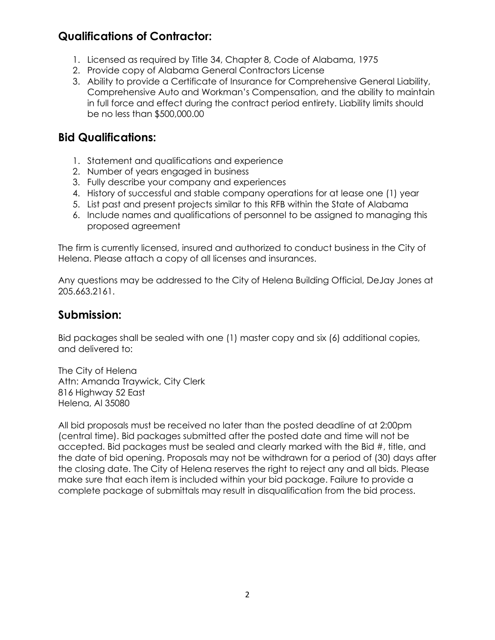### **Qualifications of Contractor:**

- 1. Licensed as required by Title 34, Chapter 8, Code of Alabama, 1975
- 2. Provide copy of Alabama General Contractors License
- 3. Ability to provide a Certificate of Insurance for Comprehensive General Liability, Comprehensive Auto and Workman's Compensation, and the ability to maintain in full force and effect during the contract period entirety. Liability limits should be no less than \$500,000.00

### **Bid Qualifications:**

- 1. Statement and qualifications and experience
- 2. Number of years engaged in business
- 3. Fully describe your company and experiences
- 4. History of successful and stable company operations for at lease one (1) year
- 5. List past and present projects similar to this RFB within the State of Alabama
- 6. Include names and qualifications of personnel to be assigned to managing this proposed agreement

The firm is currently licensed, insured and authorized to conduct business in the City of Helena. Please attach a copy of all licenses and insurances.

Any questions may be addressed to the City of Helena Building Official, DeJay Jones at 205.663.2161.

#### **Submission:**

Bid packages shall be sealed with one (1) master copy and six (6) additional copies, and delivered to:

The City of Helena Attn: Amanda Traywick, City Clerk 816 Highway 52 East Helena, Al 35080

All bid proposals must be received no later than the posted deadline of at 2:00pm (central time). Bid packages submitted after the posted date and time will not be accepted. Bid packages must be sealed and clearly marked with the Bid #, title, and the date of bid opening. Proposals may not be withdrawn for a period of (30) days after the closing date. The City of Helena reserves the right to reject any and all bids. Please make sure that each item is included within your bid package. Failure to provide a complete package of submittals may result in disqualification from the bid process.